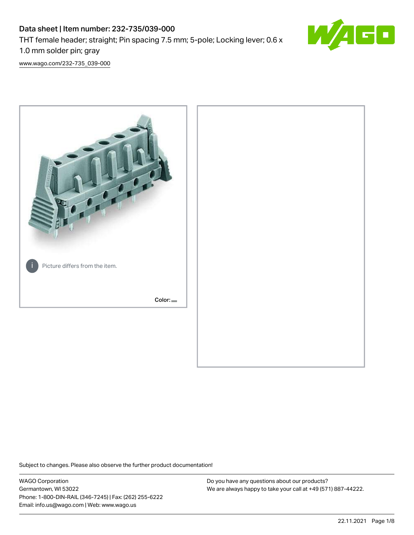# Data sheet | Item number: 232-735/039-000 THT female header; straight; Pin spacing 7.5 mm; 5-pole; Locking lever; 0.6 x 1.0 mm solder pin; gray



[www.wago.com/232-735\\_039-000](http://www.wago.com/232-735_039-000)



Subject to changes. Please also observe the further product documentation!

WAGO Corporation Germantown, WI 53022 Phone: 1-800-DIN-RAIL (346-7245) | Fax: (262) 255-6222 Email: info.us@wago.com | Web: www.wago.us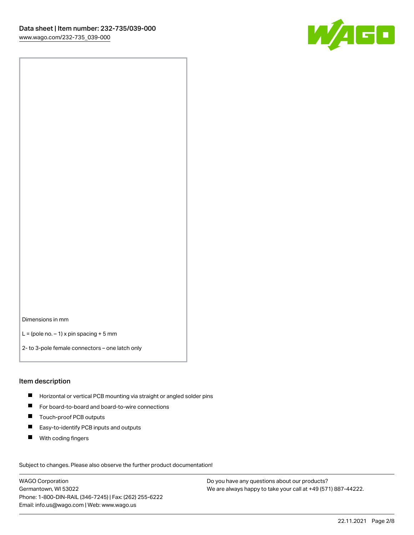

Dimensions in mm

 $L =$  (pole no.  $-1$ ) x pin spacing + 5 mm

2- to 3-pole female connectors – one latch only

#### Item description

- **H** Horizontal or vertical PCB mounting via straight or angled solder pins
- For board-to-board and board-to-wire connections
- Touch-proof PCB outputs  $\blacksquare$
- $\blacksquare$ Easy-to-identify PCB inputs and outputs
- $\blacksquare$ With coding fingers

Subject to changes. Please also observe the further product documentation! Data

WAGO Corporation Germantown, WI 53022 Phone: 1-800-DIN-RAIL (346-7245) | Fax: (262) 255-6222 Email: info.us@wago.com | Web: www.wago.us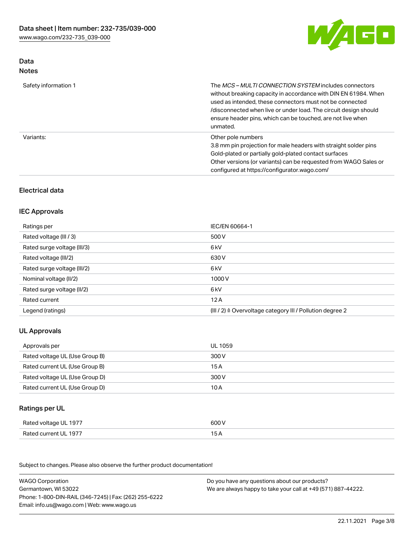

# Data Notes

| Safety information 1 | The <i>MCS – MULTI CONNECTION SYSTEM</i> includes connectors<br>without breaking capacity in accordance with DIN EN 61984. When<br>used as intended, these connectors must not be connected<br>/disconnected when live or under load. The circuit design should<br>ensure header pins, which can be touched, are not live when<br>unmated. |
|----------------------|--------------------------------------------------------------------------------------------------------------------------------------------------------------------------------------------------------------------------------------------------------------------------------------------------------------------------------------------|
| Variants:            | Other pole numbers<br>3.8 mm pin projection for male headers with straight solder pins<br>Gold-plated or partially gold-plated contact surfaces<br>Other versions (or variants) can be requested from WAGO Sales or<br>configured at https://configurator.wago.com/                                                                        |

# Electrical data

### IEC Approvals

| Ratings per                 | IEC/EN 60664-1                                                        |
|-----------------------------|-----------------------------------------------------------------------|
| Rated voltage (III / 3)     | 500 V                                                                 |
| Rated surge voltage (III/3) | 6 kV                                                                  |
| Rated voltage (III/2)       | 630 V                                                                 |
| Rated surge voltage (III/2) | 6 kV                                                                  |
| Nominal voltage (II/2)      | 1000 V                                                                |
| Rated surge voltage (II/2)  | 6 kV                                                                  |
| Rated current               | 12A                                                                   |
| Legend (ratings)            | $(III / 2)$ $\triangle$ Overvoltage category III / Pollution degree 2 |

# UL Approvals

| Approvals per                  | UL 1059 |
|--------------------------------|---------|
| Rated voltage UL (Use Group B) | 300 V   |
| Rated current UL (Use Group B) | 15 A    |
| Rated voltage UL (Use Group D) | 300 V   |
| Rated current UL (Use Group D) | 10 A    |

# Ratings per UL

| Rated voltage UL 1977 | 600 V |
|-----------------------|-------|
| Rated current UL 1977 |       |

Subject to changes. Please also observe the further product documentation!

| <b>WAGO Corporation</b>                                | Do you have any questions about our products?                 |
|--------------------------------------------------------|---------------------------------------------------------------|
| Germantown, WI 53022                                   | We are always happy to take your call at +49 (571) 887-44222. |
| Phone: 1-800-DIN-RAIL (346-7245)   Fax: (262) 255-6222 |                                                               |
| Email: info.us@wago.com   Web: www.wago.us             |                                                               |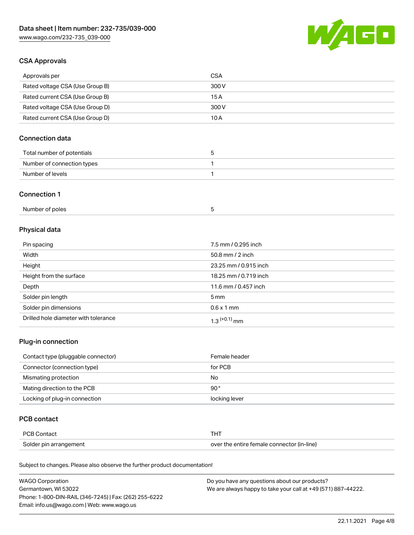

# CSA Approvals

| Approvals per                   | CSA   |
|---------------------------------|-------|
| Rated voltage CSA (Use Group B) | 300 V |
| Rated current CSA (Use Group B) | 15 A  |
| Rated voltage CSA (Use Group D) | 300 V |
| Rated current CSA (Use Group D) | 10 A  |

# Connection data

| Total number of potentials |  |
|----------------------------|--|
| Number of connection types |  |
| Number of levels           |  |

### Connection 1

| Number of poles |  |
|-----------------|--|
|-----------------|--|

# Physical data

| Pin spacing                          | 7.5 mm / 0.295 inch   |
|--------------------------------------|-----------------------|
| Width                                | 50.8 mm $/$ 2 inch    |
| Height                               | 23.25 mm / 0.915 inch |
| Height from the surface              | 18.25 mm / 0.719 inch |
| Depth                                | 11.6 mm / 0.457 inch  |
| Solder pin length                    | $5 \,\mathrm{mm}$     |
| Solder pin dimensions                | $0.6 \times 1$ mm     |
| Drilled hole diameter with tolerance | $1.3$ $(+0.1)$ mm     |

### Plug-in connection

| Contact type (pluggable connector) | Female header |
|------------------------------------|---------------|
| Connector (connection type)        | for PCB       |
| Mismating protection               | No            |
| Mating direction to the PCB        | 90°           |
| Locking of plug-in connection      | locking lever |

## PCB contact

| PCB Contact            | THT                                        |
|------------------------|--------------------------------------------|
| Solder pin arrangement | over the entire female connector (in-line) |

Subject to changes. Please also observe the further product documentation!

| <b>WAGO Corporation</b>                                | Do you have any questions about our products?                 |
|--------------------------------------------------------|---------------------------------------------------------------|
| Germantown, WI 53022                                   | We are always happy to take your call at +49 (571) 887-44222. |
| Phone: 1-800-DIN-RAIL (346-7245)   Fax: (262) 255-6222 |                                                               |
| Email: info.us@wago.com   Web: www.wago.us             |                                                               |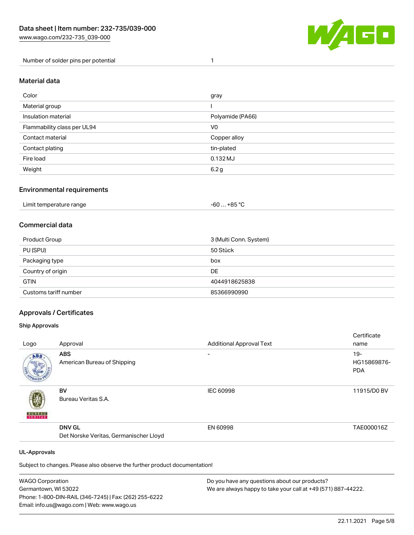

Number of solder pins per potential 1

### Material data

| Color                       | gray             |
|-----------------------------|------------------|
| Material group              |                  |
| Insulation material         | Polyamide (PA66) |
| Flammability class per UL94 | V <sub>0</sub>   |
| Contact material            | Copper alloy     |
| Contact plating             | tin-plated       |
| Fire load                   | $0.132$ MJ       |
| Weight                      | 6.2g             |

### Environmental requirements

| Limit temperature range<br>. | . +85 °C<br>-60 |  |
|------------------------------|-----------------|--|
|------------------------------|-----------------|--|

# Commercial data

| Product Group         | 3 (Multi Conn. System) |
|-----------------------|------------------------|
| PU (SPU)              | 50 Stück               |
| Packaging type        | box                    |
| Country of origin     | DE                     |
| <b>GTIN</b>           | 4044918625838          |
| Customs tariff number | 85366990990            |

### Approvals / Certificates

#### Ship Approvals

|                     |                                        |                                 | Certificate |
|---------------------|----------------------------------------|---------------------------------|-------------|
| Logo                | Approval                               | <b>Additional Approval Text</b> | name        |
| ABS.                | <b>ABS</b>                             | $\overline{\phantom{0}}$        | $19 -$      |
|                     | American Bureau of Shipping            |                                 | HG15869876- |
|                     |                                        |                                 | <b>PDA</b>  |
|                     | BV                                     | <b>IEC 60998</b>                | 11915/D0 BV |
|                     | Bureau Veritas S.A.                    |                                 |             |
| <b>BUREAU</b>       |                                        |                                 |             |
|                     | <b>DNV GL</b>                          | EN 60998                        | TAE000016Z  |
|                     | Det Norske Veritas, Germanischer Lloyd |                                 |             |
| <b>UL-Approvals</b> |                                        |                                 |             |
|                     |                                        |                                 |             |

Subject to changes. Please also observe the further product documentation!

| <b>WAGO Corporation</b>                                | Do you have any questions about our products?                 |
|--------------------------------------------------------|---------------------------------------------------------------|
| Germantown, WI 53022                                   | We are always happy to take your call at +49 (571) 887-44222. |
| Phone: 1-800-DIN-RAIL (346-7245)   Fax: (262) 255-6222 |                                                               |
| Email: info.us@wago.com   Web: www.wago.us             |                                                               |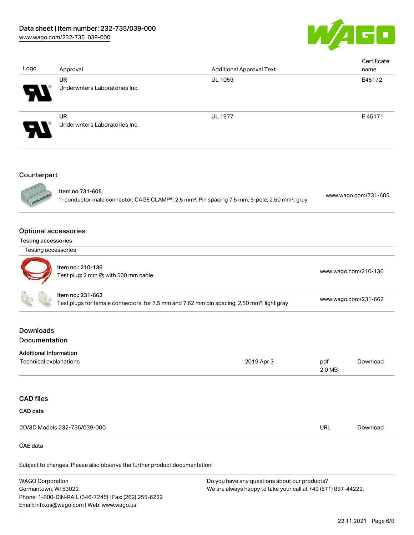

| Logo                                                                                                                         | Approval                                                                                                                                  | <b>Additional Approval Text</b> |               | Certificate<br>name  |  |
|------------------------------------------------------------------------------------------------------------------------------|-------------------------------------------------------------------------------------------------------------------------------------------|---------------------------------|---------------|----------------------|--|
|                                                                                                                              | <b>UR</b><br>Underwriters Laboratories Inc.                                                                                               | <b>UL 1059</b>                  |               | E45172               |  |
|                                                                                                                              | <b>UR</b><br>Underwriters Laboratories Inc.                                                                                               | <b>UL 1977</b>                  |               | E45171               |  |
| Counterpart                                                                                                                  |                                                                                                                                           |                                 |               |                      |  |
|                                                                                                                              | Item no.731-605<br>1-conductor male connector; CAGE CLAMP®; 2.5 mm <sup>2</sup> ; Pin spacing 7.5 mm; 5-pole; 2,50 mm <sup>2</sup> ; gray |                                 |               | www.wago.com/731-605 |  |
| <b>Optional accessories</b>                                                                                                  |                                                                                                                                           |                                 |               |                      |  |
| Testing accessories                                                                                                          |                                                                                                                                           |                                 |               |                      |  |
| Testing accessories                                                                                                          |                                                                                                                                           |                                 |               |                      |  |
|                                                                                                                              | Item no.: 210-136<br>Test plug; 2 mm Ø; with 500 mm cable                                                                                 |                                 |               | www.wago.com/210-136 |  |
| Item no.: 231-662<br>Test plugs for female connectors; for 7.5 mm and 7.62 mm pin spacing; 2,50 mm <sup>2</sup> ; light gray |                                                                                                                                           | www.wago.com/231-662            |               |                      |  |
| <b>Downloads</b><br>Documentation                                                                                            |                                                                                                                                           |                                 |               |                      |  |
| <b>Additional Information</b>                                                                                                |                                                                                                                                           |                                 |               |                      |  |
| Technical explanations                                                                                                       |                                                                                                                                           | 2019 Apr 3                      | pdf<br>2.0 MB | Download             |  |
| <b>CAD files</b>                                                                                                             |                                                                                                                                           |                                 |               |                      |  |
| CAD data                                                                                                                     |                                                                                                                                           |                                 |               |                      |  |
|                                                                                                                              | 2D/3D Models 232-735/039-000                                                                                                              |                                 | URL           | Download             |  |

## CAE data

Subject to changes. Please also observe the further product documentation!

WAGO Corporation Germantown, WI 53022 Phone: 1-800-DIN-RAIL (346-7245) | Fax: (262) 255-6222 Email: info.us@wago.com | Web: www.wago.us Do you have any questions about our products? We are always happy to take your call at +49 (571) 887-44222.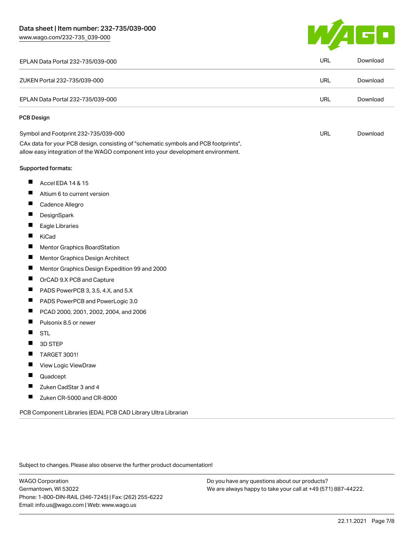[www.wago.com/232-735\\_039-000](http://www.wago.com/232-735_039-000)



| EPLAN Data Portal 232-735/039-000                                                                                                                                      | URL        | Download |
|------------------------------------------------------------------------------------------------------------------------------------------------------------------------|------------|----------|
| ZUKEN Portal 232-735/039-000                                                                                                                                           | <b>URL</b> | Download |
| EPLAN Data Portal 232-735/039-000                                                                                                                                      | URL        | Download |
| <b>PCB Design</b>                                                                                                                                                      |            |          |
| Symbol and Footprint 232-735/039-000                                                                                                                                   | <b>URL</b> | Download |
| CAx data for your PCB design, consisting of "schematic symbols and PCB footprints",<br>allow easy integration of the WAGO component into your development environment. |            |          |
| <b>Supported formats:</b>                                                                                                                                              |            |          |
| ш<br>Accel EDA 14 & 15                                                                                                                                                 |            |          |
| ш<br>Altium 6 to current version                                                                                                                                       |            |          |
| ш<br>Cadence Allegro                                                                                                                                                   |            |          |
| П<br>DesignSpark                                                                                                                                                       |            |          |
| ш<br>Eagle Libraries                                                                                                                                                   |            |          |
| ш<br>KiCad                                                                                                                                                             |            |          |
| ш<br>Mentor Graphics BoardStation                                                                                                                                      |            |          |
| ш<br>Mentor Graphics Design Architect                                                                                                                                  |            |          |
| ш<br>Mentor Graphics Design Expedition 99 and 2000                                                                                                                     |            |          |
| ш<br>OrCAD 9.X PCB and Capture                                                                                                                                         |            |          |
| ц<br>PADS PowerPCB 3, 3.5, 4.X, and 5.X                                                                                                                                |            |          |
| PADS PowerPCB and PowerLogic 3.0<br>ш                                                                                                                                  |            |          |
| П<br>PCAD 2000, 2001, 2002, 2004, and 2006                                                                                                                             |            |          |
| ш<br>Pulsonix 8.5 or newer                                                                                                                                             |            |          |
| <b>STL</b>                                                                                                                                                             |            |          |
| 3D STEP                                                                                                                                                                |            |          |
| TARGET 3001!<br>щ                                                                                                                                                      |            |          |
| View Logic ViewDraw                                                                                                                                                    |            |          |
| ш<br>Quadcept                                                                                                                                                          |            |          |
| Zuken CadStar 3 and 4<br>П                                                                                                                                             |            |          |
| Ц<br>Zuken CR-5000 and CR-8000                                                                                                                                         |            |          |
| PCB Component Libraries (EDA), PCB CAD Library Ultra Librarian                                                                                                         |            |          |

Subject to changes. Please also observe the further product documentation!

WAGO Corporation Germantown, WI 53022 Phone: 1-800-DIN-RAIL (346-7245) | Fax: (262) 255-6222 Email: info.us@wago.com | Web: www.wago.us